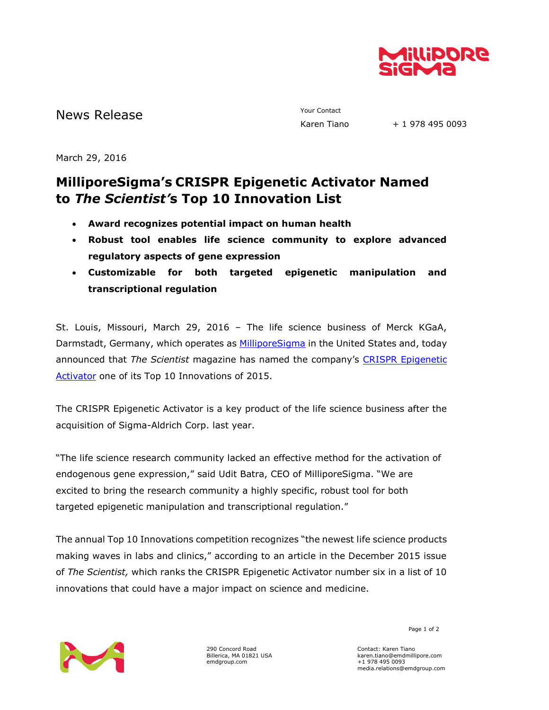

News Release The Contact Terms of the Mews Release Tiangle School and Mews Raren Tiangle

 $+ 1$  978 495 0093

March 29, 2016

## **MilliporeSigma's CRISPR Epigenetic Activator Named to** *The Scientist'***s Top 10 Innovation List**

- **Award recognizes potential impact on human health**
- **Robust tool enables life science community to explore advanced regulatory aspects of gene expression**
- **Customizable for both targeted epigenetic manipulation and transcriptional regulation**

St. Louis, Missouri, March 29, 2016 – The life science business of Merck KGaA, Darmstadt, Germany, which operates as [MilliporeSigma](http://www.emdgroup.com/emd/products/life_science/life_science.html) in the United States and, today announced that *The Scientist* magazine has named the company's [CRISPR Epigenetic](http://www.sigmaaldrich.com/technical-documents/articles/biology/dcas9-p300-crispr-gene-activator.html?utm_source=redirect&utm_medium=promotional&utm_campaign=geneactivator)  [Activator](http://www.sigmaaldrich.com/technical-documents/articles/biology/dcas9-p300-crispr-gene-activator.html?utm_source=redirect&utm_medium=promotional&utm_campaign=geneactivator) one of its Top 10 Innovations of 2015.

The CRISPR Epigenetic Activator is a key product of the life science business after the acquisition of Sigma-Aldrich Corp. last year.

"The life science research community lacked an effective method for the activation of endogenous gene expression," said Udit Batra, CEO of MilliporeSigma. "We are excited to bring the research community a highly specific, robust tool for both targeted epigenetic manipulation and transcriptional regulation."

The annual Top 10 Innovations competition recognizes "the newest life science products making waves in labs and clinics," according to an article in the December 2015 issue of *The Scientist,* which ranks the CRISPR Epigenetic Activator number six in a list of 10 innovations that could have a major impact on science and medicine.



290 Concord Road Billerica, MA 01821 USA emdgroup.com

Page 1 of 2

Contact: Karen Tiano karen.tiano@emdmillipore.com +1 978 495 0093 media.relations@emdgroup.com